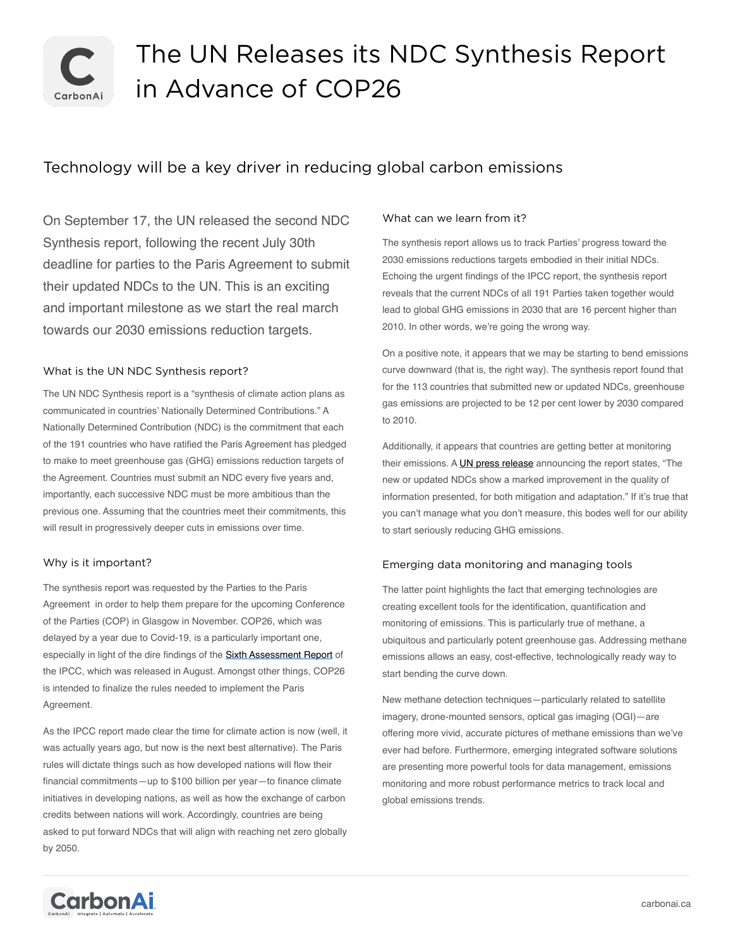

# The UN Releases its NDC Synthesis Report in Advance of COP26

# Technology will be a key driver in reducing global carbon emissions

On September 17, the UN released the second NDC Synthesis report, following the recent July 30th deadline for parties to the Paris Agreement to submit their updated NDCs to the UN. This is an exciting and important milestone as we start the real march towards our 2030 emissions reduction targets.

## What is the UN NDC Synthesis report?

The UN NDC Synthesis report is a "synthesis of climate action plans as communicated in countries' Nationally Determined Contributions." A Nationally Determined Contribution (NDC) is the commitment that each of the 191 countries who have ratified the Paris Agreement has pledged to make to meet greenhouse gas (GHG) emissions reduction targets of the Agreement. Countries must submit an NDC every five years and, importantly, each successive NDC must be more ambitious than the previous one. Assuming that the countries meet their commitments, this will result in progressively deeper cuts in emissions over time.

#### Why is it important?

The synthesis report was requested by the Parties to the Paris Agreement in order to help them prepare for the upcoming Conference of the Parties (COP) in Glasgow in November. COP26, which was delayed by a year due to Covid-19, is a particularly important one, especially in light of the dire findings of the [Sixth Assessment Report](https://www.ipcc.ch/report/ar6/wg1/) of the IPCC, which was released in August. Amongst other things, COP26 is intended to finalize the rules needed to implement the Paris Agreement.

As the IPCC report made clear the time for climate action is now (well, it was actually years ago, but now is the next best alternative). The Paris rules will dictate things such as how developed nations will flow their financial commitments—up to \$100 billion per year—to finance climate initiatives in developing nations, as well as how the exchange of carbon credits between nations will work. Accordingly, countries are being asked to put forward NDCs that will align with reaching net zero globally by 2050.

### What can we learn from it?

The synthesis report allows us to track Parties' progress toward the 2030 emissions reductions targets embodied in their initial NDCs. Echoing the urgent findings of the IPCC report, the synthesis report reveals that the current NDCs of all 191 Parties taken together would lead to global GHG emissions in 2030 that are 16 percent higher than 2010. In other words, we're going the wrong way.

On a positive note, it appears that we may be starting to bend emissions curve downward (that is, the right way). The synthesis report found that for the 113 countries that submitted new or updated NDCs, greenhouse gas emissions are projected to be 12 per cent lower by 2030 compared to 2010.

Additionally, it appears that countries are getting better at monitoring their emissions. A [UN press release](https://www.google.com/url?sa=t&rct=j&q=&esrc=s&source=web&cd=&cad=rja&uact=8&ved=2ahUKEwjcys3Y25XzAhVOnJ4KHTRHAUEQFnoECBcQAQ&url=https://unfccc.int/news/full-ndc-synthesis-report-some-progress-but-still-a-big-concern&usg=AOvVaw1Itfek57DwV40C38iYnJ21) announcing the report states, "The new or updated NDCs show a marked improvement in the quality of information presented, for both mitigation and adaptation." If it's true that you can't manage what you don't measure, this bodes well for our ability to start seriously reducing GHG emissions.

#### Emerging data monitoring and managing tools

The latter point highlights the fact that emerging technologies are creating excellent tools for the identification, quantification and monitoring of emissions. This is particularly true of methane, a ubiquitous and particularly potent greenhouse gas. Addressing methane emissions allows an easy, cost-effective, technologically ready way to start bending the curve down.

New methane detection techniques—particularly related to satellite imagery, drone-mounted sensors, optical gas imaging (OGI)—are offering more vivid, accurate pictures of methane emissions than we've ever had before. Furthermore, emerging integrated software solutions are presenting more powerful tools for data management, emissions monitoring and more robust performance metrics to track local and global emissions trends.